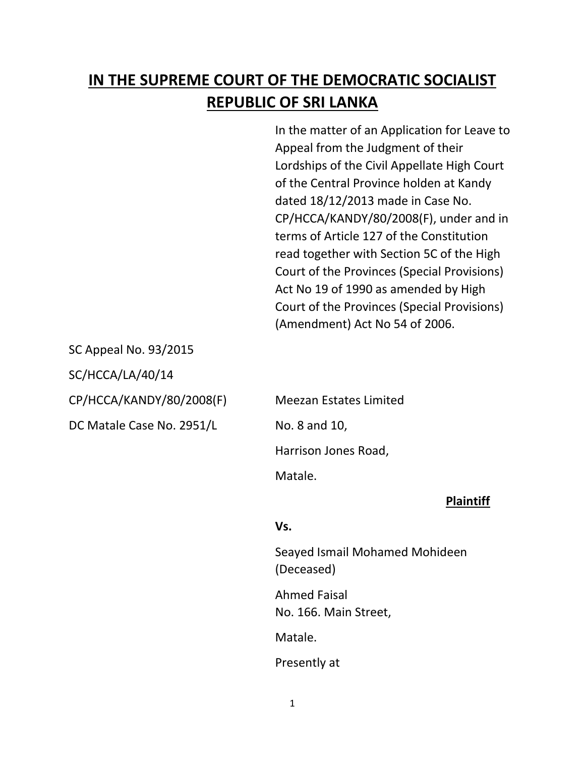# **IN THE SUPREME COURT OF THE DEMOCRATIC SOCIALIST REPUBLIC OF SRI LANKA**

In the matter of an Application for Leave to Appeal from the Judgment of their Lordships of the Civil Appellate High Court of the Central Province holden at Kandy dated 18/12/2013 made in Case No. CP/HCCA/KANDY/80/2008(F), under and in terms of Article 127 of the Constitution read together with Section 5C of the High Court of the Provinces (Special Provisions) Act No 19 of 1990 as amended by High Court of the Provinces (Special Provisions) (Amendment) Act No 54 of 2006.

SC Appeal No. 93/2015

SC/HCCA/LA/40/14

CP/HCCA/KANDY/80/2008(F) Meezan Estates Limited

DC Matale Case No. 2951/L No. 8 and 10,

Harrison Jones Road,

Matale.

# **Plaintiff**

### **Vs.**

Seayed Ismail Mohamed Mohideen (Deceased)

Ahmed Faisal No. 166. Main Street,

Matale.

Presently at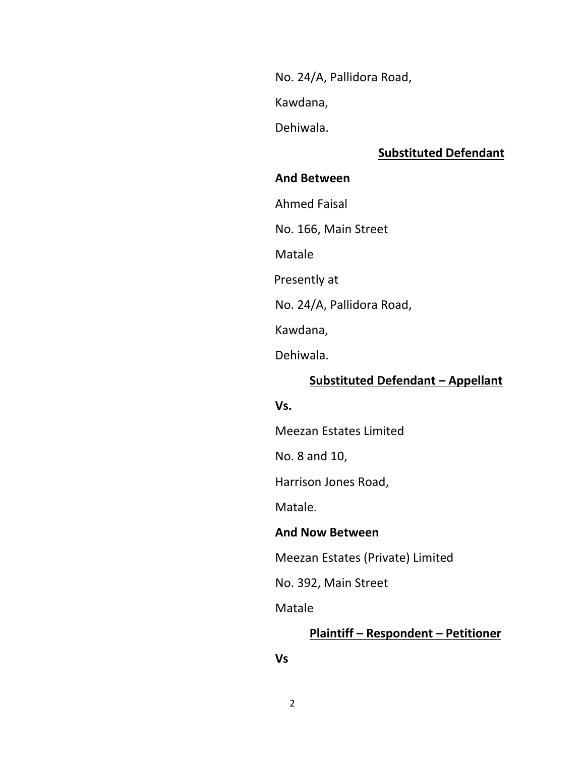No. 24/A, Pallidora Road,

Kawdana,

Dehiwala.

# **Substituted Defendant**

#### **And Between**

Ahmed Faisal

No. 166, Main Street

Matale

Presently at

No. 24/A, Pallidora Road,

Kawdana,

Dehiwala.

## **Substituted Defendant – Appellant**

### **Vs.**

Meezan Estates Limited

No. 8 and 10,

Harrison Jones Road,

Matale.

#### **And Now Between**

Meezan Estates (Private) Limited

No. 392, Main Street

Matale

### **Plaintiff – Respondent – Petitioner**

**Vs**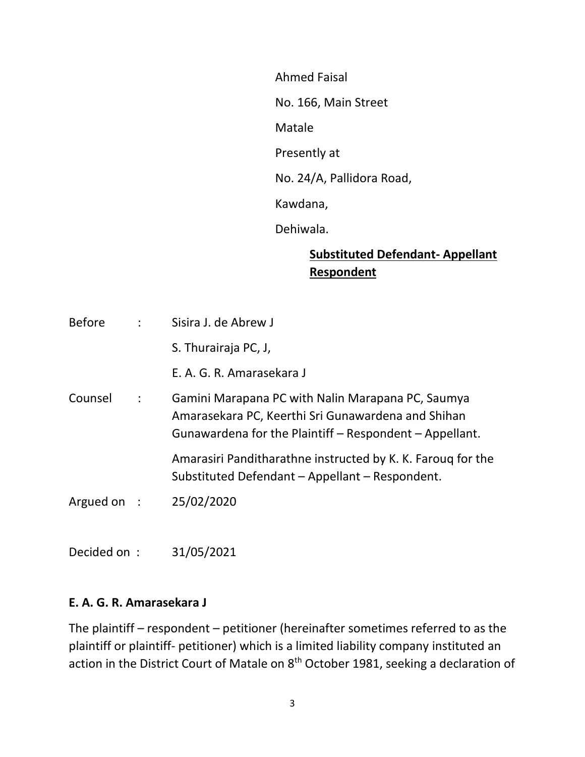Ahmed Faisal

No. 166, Main Street

Matale

Presently at

No. 24/A, Pallidora Road,

Kawdana,

Dehiwala.

# **Substituted Defendant- Appellant Respondent**

| <b>Before</b> |                      | Sisira J. de Abrew J                                                                                                                                               |
|---------------|----------------------|--------------------------------------------------------------------------------------------------------------------------------------------------------------------|
|               |                      | S. Thurairaja PC, J,                                                                                                                                               |
|               |                      | E. A. G. R. Amarasekara J                                                                                                                                          |
| Counsel       | $\ddot{\phantom{a}}$ | Gamini Marapana PC with Nalin Marapana PC, Saumya<br>Amarasekara PC, Keerthi Sri Gunawardena and Shihan<br>Gunawardena for the Plaintiff - Respondent - Appellant. |
|               |                      | Amarasiri Panditharathne instructed by K. K. Faroug for the<br>Substituted Defendant - Appellant - Respondent.                                                     |
| Argued on :   |                      | 25/02/2020                                                                                                                                                         |
|               |                      |                                                                                                                                                                    |

Decided on : 31/05/2021

# **E. A. G. R. Amarasekara J**

The plaintiff – respondent – petitioner (hereinafter sometimes referred to as the plaintiff or plaintiff- petitioner) which is a limited liability company instituted an action in the District Court of Matale on  $8<sup>th</sup>$  October 1981, seeking a declaration of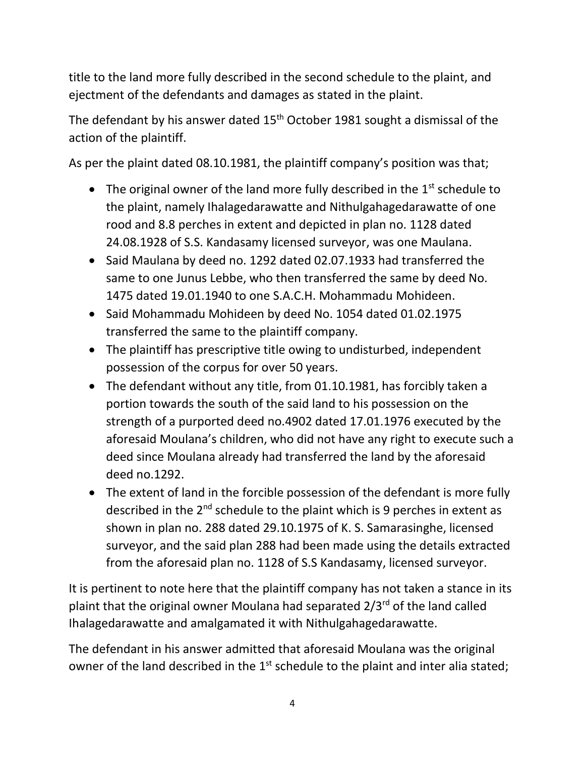title to the land more fully described in the second schedule to the plaint, and ejectment of the defendants and damages as stated in the plaint.

The defendant by his answer dated  $15<sup>th</sup>$  October 1981 sought a dismissal of the action of the plaintiff.

As per the plaint dated 08.10.1981, the plaintiff company's position was that;

- The original owner of the land more fully described in the  $1<sup>st</sup>$  schedule to the plaint, namely Ihalagedarawatte and Nithulgahagedarawatte of one rood and 8.8 perches in extent and depicted in plan no. 1128 dated 24.08.1928 of S.S. Kandasamy licensed surveyor, was one Maulana.
- Said Maulana by deed no. 1292 dated 02.07.1933 had transferred the same to one Junus Lebbe, who then transferred the same by deed No. 1475 dated 19.01.1940 to one S.A.C.H. Mohammadu Mohideen.
- Said Mohammadu Mohideen by deed No. 1054 dated 01.02.1975 transferred the same to the plaintiff company.
- The plaintiff has prescriptive title owing to undisturbed, independent possession of the corpus for over 50 years.
- The defendant without any title, from 01.10.1981, has forcibly taken a portion towards the south of the said land to his possession on the strength of a purported deed no.4902 dated 17.01.1976 executed by the aforesaid Moulana's children, who did not have any right to execute such a deed since Moulana already had transferred the land by the aforesaid deed no.1292.
- The extent of land in the forcible possession of the defendant is more fully described in the 2<sup>nd</sup> schedule to the plaint which is 9 perches in extent as shown in plan no. 288 dated 29.10.1975 of K. S. Samarasinghe, licensed surveyor, and the said plan 288 had been made using the details extracted from the aforesaid plan no. 1128 of S.S Kandasamy, licensed surveyor.

It is pertinent to note here that the plaintiff company has not taken a stance in its plaint that the original owner Moulana had separated 2/3<sup>rd</sup> of the land called Ihalagedarawatte and amalgamated it with Nithulgahagedarawatte.

The defendant in his answer admitted that aforesaid Moulana was the original owner of the land described in the 1<sup>st</sup> schedule to the plaint and inter alia stated;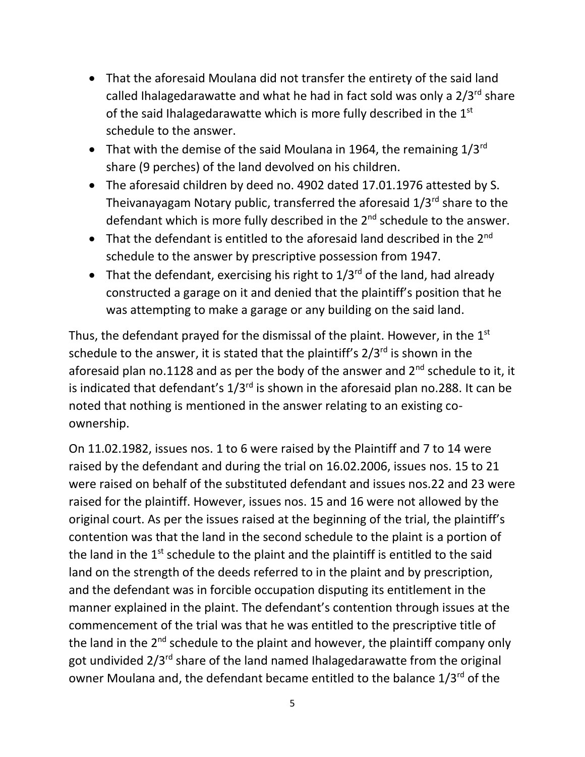- That the aforesaid Moulana did not transfer the entirety of the said land called Ihalagedarawatte and what he had in fact sold was only a  $2/3^{rd}$  share of the said Ihalagedarawatte which is more fully described in the 1st schedule to the answer.
- That with the demise of the said Moulana in 1964, the remaining  $1/3^{rd}$ share (9 perches) of the land devolved on his children.
- The aforesaid children by deed no. 4902 dated 17.01.1976 attested by S. Theivanayagam Notary public, transferred the aforesaid 1/3rd share to the defendant which is more fully described in the  $2^{nd}$  schedule to the answer.
- That the defendant is entitled to the aforesaid land described in the  $2^{nd}$ schedule to the answer by prescriptive possession from 1947.
- That the defendant, exercising his right to  $1/3^{rd}$  of the land, had already constructed a garage on it and denied that the plaintiff's position that he was attempting to make a garage or any building on the said land.

Thus, the defendant prayed for the dismissal of the plaint. However, in the  $1<sup>st</sup>$ schedule to the answer, it is stated that the plaintiff's  $2/3^{rd}$  is shown in the aforesaid plan no.1128 and as per the body of the answer and  $2^{nd}$  schedule to it, it is indicated that defendant's  $1/3^{rd}$  is shown in the aforesaid plan no.288. It can be noted that nothing is mentioned in the answer relating to an existing coownership.

On 11.02.1982, issues nos. 1 to 6 were raised by the Plaintiff and 7 to 14 were raised by the defendant and during the trial on 16.02.2006, issues nos. 15 to 21 were raised on behalf of the substituted defendant and issues nos.22 and 23 were raised for the plaintiff. However, issues nos. 15 and 16 were not allowed by the original court. As per the issues raised at the beginning of the trial, the plaintiff's contention was that the land in the second schedule to the plaint is a portion of the land in the 1<sup>st</sup> schedule to the plaint and the plaintiff is entitled to the said land on the strength of the deeds referred to in the plaint and by prescription, and the defendant was in forcible occupation disputing its entitlement in the manner explained in the plaint. The defendant's contention through issues at the commencement of the trial was that he was entitled to the prescriptive title of the land in the 2<sup>nd</sup> schedule to the plaint and however, the plaintiff company only got undivided 2/3rd share of the land named Ihalagedarawatte from the original owner Moulana and, the defendant became entitled to the balance 1/3<sup>rd</sup> of the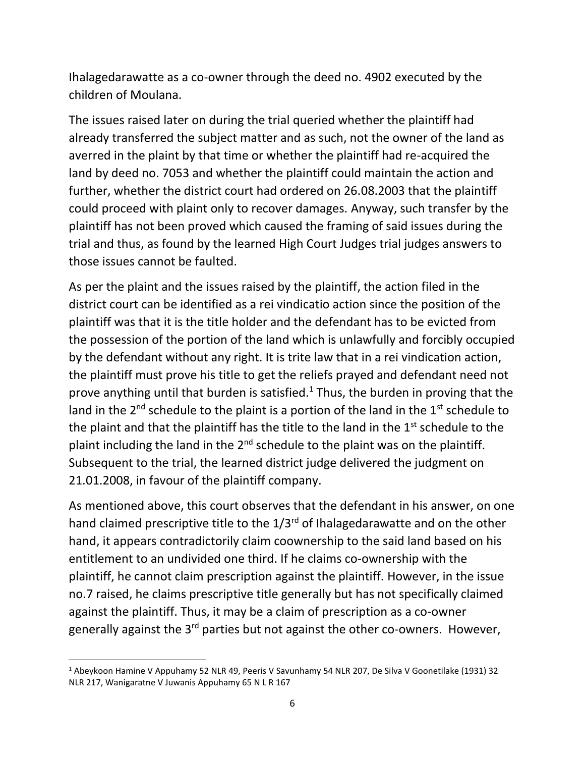Ihalagedarawatte as a co-owner through the deed no. 4902 executed by the children of Moulana.

The issues raised later on during the trial queried whether the plaintiff had already transferred the subject matter and as such, not the owner of the land as averred in the plaint by that time or whether the plaintiff had re-acquired the land by deed no. 7053 and whether the plaintiff could maintain the action and further, whether the district court had ordered on 26.08.2003 that the plaintiff could proceed with plaint only to recover damages. Anyway, such transfer by the plaintiff has not been proved which caused the framing of said issues during the trial and thus, as found by the learned High Court Judges trial judges answers to those issues cannot be faulted.

As per the plaint and the issues raised by the plaintiff, the action filed in the district court can be identified as a rei vindicatio action since the position of the plaintiff was that it is the title holder and the defendant has to be evicted from the possession of the portion of the land which is unlawfully and forcibly occupied by the defendant without any right. It is trite law that in a rei vindication action, the plaintiff must prove his title to get the reliefs prayed and defendant need not prove anything until that burden is satisfied.<sup>1</sup> Thus, the burden in proving that the land in the  $2^{nd}$  schedule to the plaint is a portion of the land in the  $1^{st}$  schedule to the plaint and that the plaintiff has the title to the land in the  $1<sup>st</sup>$  schedule to the plaint including the land in the  $2^{nd}$  schedule to the plaint was on the plaintiff. Subsequent to the trial, the learned district judge delivered the judgment on 21.01.2008, in favour of the plaintiff company.

As mentioned above, this court observes that the defendant in his answer, on one hand claimed prescriptive title to the  $1/3^{rd}$  of Ihalagedarawatte and on the other hand, it appears contradictorily claim coownership to the said land based on his entitlement to an undivided one third. If he claims co-ownership with the plaintiff, he cannot claim prescription against the plaintiff. However, in the issue no.7 raised, he claims prescriptive title generally but has not specifically claimed against the plaintiff. Thus, it may be a claim of prescription as a co-owner generally against the 3<sup>rd</sup> parties but not against the other co-owners. However,

<sup>1</sup> Abeykoon Hamine V Appuhamy 52 NLR 49, Peeris V Savunhamy 54 NLR 207, De Silva V Goonetilake (1931) 32 NLR 217, Wanigaratne V Juwanis Appuhamy 65 N L R 167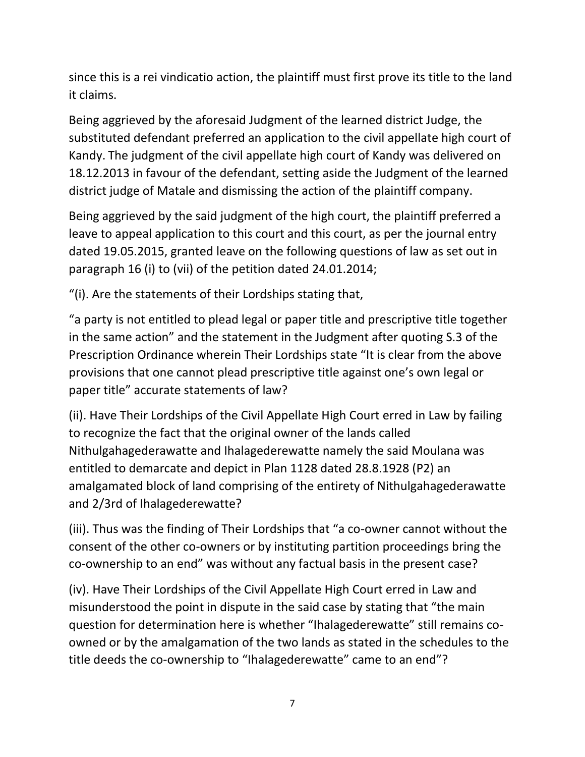since this is a rei vindicatio action, the plaintiff must first prove its title to the land it claims.

Being aggrieved by the aforesaid Judgment of the learned district Judge, the substituted defendant preferred an application to the civil appellate high court of Kandy. The judgment of the civil appellate high court of Kandy was delivered on 18.12.2013 in favour of the defendant, setting aside the Judgment of the learned district judge of Matale and dismissing the action of the plaintiff company.

Being aggrieved by the said judgment of the high court, the plaintiff preferred a leave to appeal application to this court and this court, as per the journal entry dated 19.05.2015, granted leave on the following questions of law as set out in paragraph 16 (i) to (vii) of the petition dated 24.01.2014;

"(i). Are the statements of their Lordships stating that,

"a party is not entitled to plead legal or paper title and prescriptive title together in the same action" and the statement in the Judgment after quoting S.3 of the Prescription Ordinance wherein Their Lordships state "It is clear from the above provisions that one cannot plead prescriptive title against one's own legal or paper title" accurate statements of law?

(ii). Have Their Lordships of the Civil Appellate High Court erred in Law by failing to recognize the fact that the original owner of the lands called Nithulgahagederawatte and Ihalagederewatte namely the said Moulana was entitled to demarcate and depict in Plan 1128 dated 28.8.1928 (P2) an amalgamated block of land comprising of the entirety of Nithulgahagederawatte and 2/3rd of Ihalagederewatte?

(iii). Thus was the finding of Their Lordships that "a co-owner cannot without the consent of the other co-owners or by instituting partition proceedings bring the co-ownership to an end" was without any factual basis in the present case?

(iv). Have Their Lordships of the Civil Appellate High Court erred in Law and misunderstood the point in dispute in the said case by stating that "the main question for determination here is whether "Ihalagederewatte" still remains coowned or by the amalgamation of the two lands as stated in the schedules to the title deeds the co-ownership to "Ihalagederewatte" came to an end"?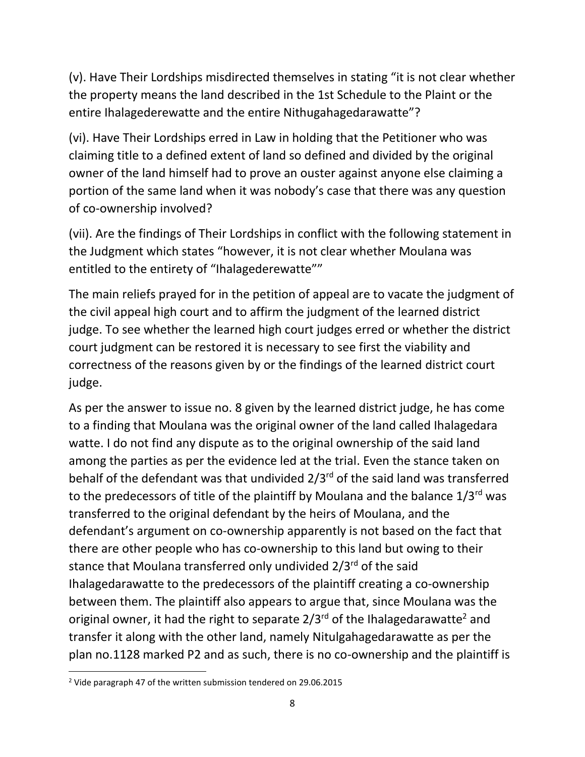(v). Have Their Lordships misdirected themselves in stating "it is not clear whether the property means the land described in the 1st Schedule to the Plaint or the entire Ihalagederewatte and the entire Nithugahagedarawatte"?

(vi). Have Their Lordships erred in Law in holding that the Petitioner who was claiming title to a defined extent of land so defined and divided by the original owner of the land himself had to prove an ouster against anyone else claiming a portion of the same land when it was nobody's case that there was any question of co-ownership involved?

(vii). Are the findings of Their Lordships in conflict with the following statement in the Judgment which states "however, it is not clear whether Moulana was entitled to the entirety of "Ihalagederewatte""

The main reliefs prayed for in the petition of appeal are to vacate the judgment of the civil appeal high court and to affirm the judgment of the learned district judge. To see whether the learned high court judges erred or whether the district court judgment can be restored it is necessary to see first the viability and correctness of the reasons given by or the findings of the learned district court judge.

As per the answer to issue no. 8 given by the learned district judge, he has come to a finding that Moulana was the original owner of the land called Ihalagedara watte. I do not find any dispute as to the original ownership of the said land among the parties as per the evidence led at the trial. Even the stance taken on behalf of the defendant was that undivided  $2/3^{rd}$  of the said land was transferred to the predecessors of title of the plaintiff by Moulana and the balance  $1/3^{rd}$  was transferred to the original defendant by the heirs of Moulana, and the defendant's argument on co-ownership apparently is not based on the fact that there are other people who has co-ownership to this land but owing to their stance that Moulana transferred only undivided 2/3<sup>rd</sup> of the said Ihalagedarawatte to the predecessors of the plaintiff creating a co-ownership between them. The plaintiff also appears to argue that, since Moulana was the original owner, it had the right to separate  $2/3^{rd}$  of the Ihalagedarawatte<sup>2</sup> and transfer it along with the other land, namely Nitulgahagedarawatte as per the plan no.1128 marked P2 and as such, there is no co-ownership and the plaintiff is

<sup>2</sup> Vide paragraph 47 of the written submission tendered on 29.06.2015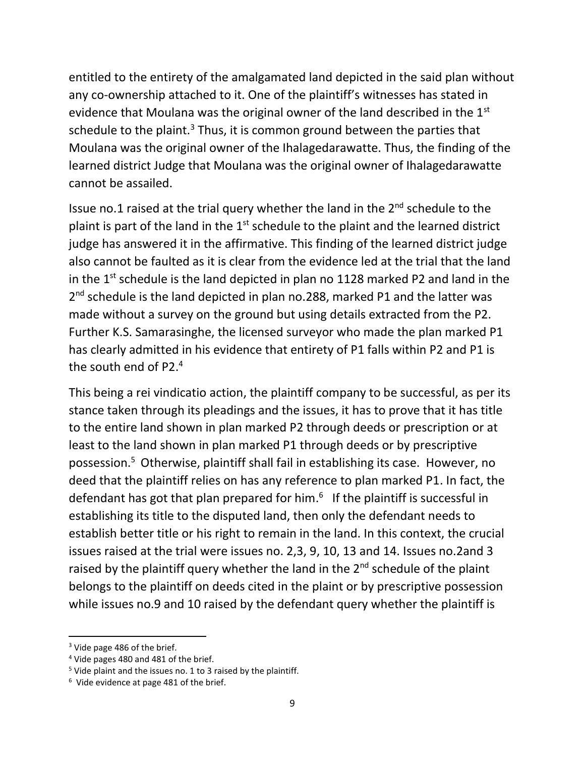entitled to the entirety of the amalgamated land depicted in the said plan without any co-ownership attached to it. One of the plaintiff's witnesses has stated in evidence that Moulana was the original owner of the land described in the 1<sup>st</sup> schedule to the plaint.<sup>3</sup> Thus, it is common ground between the parties that Moulana was the original owner of the Ihalagedarawatte. Thus, the finding of the learned district Judge that Moulana was the original owner of Ihalagedarawatte cannot be assailed.

Issue no.1 raised at the trial query whether the land in the 2<sup>nd</sup> schedule to the plaint is part of the land in the  $1<sup>st</sup>$  schedule to the plaint and the learned district judge has answered it in the affirmative. This finding of the learned district judge also cannot be faulted as it is clear from the evidence led at the trial that the land in the  $1<sup>st</sup>$  schedule is the land depicted in plan no 1128 marked P2 and land in the 2<sup>nd</sup> schedule is the land depicted in plan no.288, marked P1 and the latter was made without a survey on the ground but using details extracted from the P2. Further K.S. Samarasinghe, the licensed surveyor who made the plan marked P1 has clearly admitted in his evidence that entirety of P1 falls within P2 and P1 is the south end of P2. 4

This being a rei vindicatio action, the plaintiff company to be successful, as per its stance taken through its pleadings and the issues, it has to prove that it has title to the entire land shown in plan marked P2 through deeds or prescription or at least to the land shown in plan marked P1 through deeds or by prescriptive possession. <sup>5</sup> Otherwise, plaintiff shall fail in establishing its case. However, no deed that the plaintiff relies on has any reference to plan marked P1. In fact, the defendant has got that plan prepared for him.<sup>6</sup> If the plaintiff is successful in establishing its title to the disputed land, then only the defendant needs to establish better title or his right to remain in the land. In this context, the crucial issues raised at the trial were issues no. 2,3, 9, 10, 13 and 14. Issues no.2and 3 raised by the plaintiff query whether the land in the  $2<sup>nd</sup>$  schedule of the plaint belongs to the plaintiff on deeds cited in the plaint or by prescriptive possession while issues no.9 and 10 raised by the defendant query whether the plaintiff is

<sup>&</sup>lt;sup>3</sup> Vide page 486 of the brief.

<sup>4</sup> Vide pages 480 and 481 of the brief.

 $5$  Vide plaint and the issues no. 1 to 3 raised by the plaintiff.

 $6$  Vide evidence at page 481 of the brief.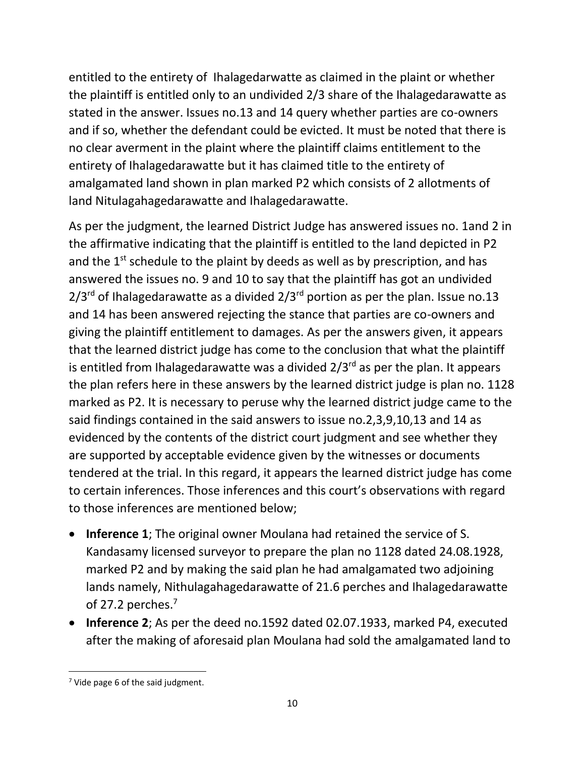entitled to the entirety of Ihalagedarwatte as claimed in the plaint or whether the plaintiff is entitled only to an undivided 2/3 share of the Ihalagedarawatte as stated in the answer. Issues no.13 and 14 query whether parties are co-owners and if so, whether the defendant could be evicted. It must be noted that there is no clear averment in the plaint where the plaintiff claims entitlement to the entirety of Ihalagedarawatte but it has claimed title to the entirety of amalgamated land shown in plan marked P2 which consists of 2 allotments of land Nitulagahagedarawatte and Ihalagedarawatte.

As per the judgment, the learned District Judge has answered issues no. 1and 2 in the affirmative indicating that the plaintiff is entitled to the land depicted in P2 and the 1<sup>st</sup> schedule to the plaint by deeds as well as by prescription, and has answered the issues no. 9 and 10 to say that the plaintiff has got an undivided  $2/3<sup>rd</sup>$  of Ihalagedarawatte as a divided  $2/3<sup>rd</sup>$  portion as per the plan. Issue no.13 and 14 has been answered rejecting the stance that parties are co-owners and giving the plaintiff entitlement to damages. As per the answers given, it appears that the learned district judge has come to the conclusion that what the plaintiff is entitled from Ihalagedarawatte was a divided  $2/3^{rd}$  as per the plan. It appears the plan refers here in these answers by the learned district judge is plan no. 1128 marked as P2. It is necessary to peruse why the learned district judge came to the said findings contained in the said answers to issue no.2,3,9,10,13 and 14 as evidenced by the contents of the district court judgment and see whether they are supported by acceptable evidence given by the witnesses or documents tendered at the trial. In this regard, it appears the learned district judge has come to certain inferences. Those inferences and this court's observations with regard to those inferences are mentioned below;

- **Inference 1**; The original owner Moulana had retained the service of S. Kandasamy licensed surveyor to prepare the plan no 1128 dated 24.08.1928, marked P2 and by making the said plan he had amalgamated two adjoining lands namely, Nithulagahagedarawatte of 21.6 perches and Ihalagedarawatte of 27.2 perches.<sup>7</sup>
- **Inference 2**; As per the deed no.1592 dated 02.07.1933, marked P4, executed after the making of aforesaid plan Moulana had sold the amalgamated land to

 $7$  Vide page 6 of the said judgment.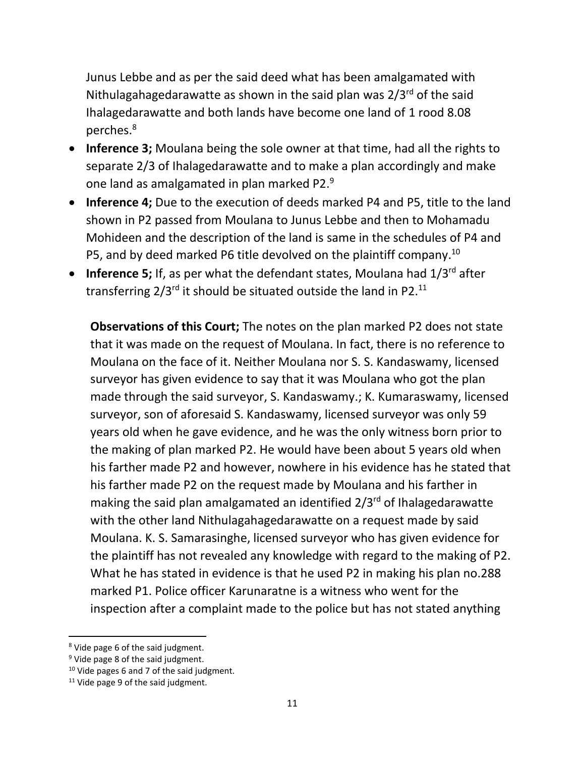Junus Lebbe and as per the said deed what has been amalgamated with Nithulagahagedarawatte as shown in the said plan was  $2/3^{rd}$  of the said Ihalagedarawatte and both lands have become one land of 1 rood 8.08 perches. 8

- **Inference 3;** Moulana being the sole owner at that time, had all the rights to separate 2/3 of Ihalagedarawatte and to make a plan accordingly and make one land as amalgamated in plan marked P2. $9$
- **Inference 4;** Due to the execution of deeds marked P4 and P5, title to the land shown in P2 passed from Moulana to Junus Lebbe and then to Mohamadu Mohideen and the description of the land is same in the schedules of P4 and P5, and by deed marked P6 title devolved on the plaintiff company.<sup>10</sup>
- **Inference 5;** If, as per what the defendant states, Moulana had 1/3<sup>rd</sup> after transferring 2/3<sup>rd</sup> it should be situated outside the land in P2.<sup>11</sup>

**Observations of this Court;** The notes on the plan marked P2 does not state that it was made on the request of Moulana. In fact, there is no reference to Moulana on the face of it. Neither Moulana nor S. S. Kandaswamy, licensed surveyor has given evidence to say that it was Moulana who got the plan made through the said surveyor, S. Kandaswamy.; K. Kumaraswamy, licensed surveyor, son of aforesaid S. Kandaswamy, licensed surveyor was only 59 years old when he gave evidence, and he was the only witness born prior to the making of plan marked P2. He would have been about 5 years old when his farther made P2 and however, nowhere in his evidence has he stated that his farther made P2 on the request made by Moulana and his farther in making the said plan amalgamated an identified  $2/3^{rd}$  of Ihalagedarawatte with the other land Nithulagahagedarawatte on a request made by said Moulana. K. S. Samarasinghe, licensed surveyor who has given evidence for the plaintiff has not revealed any knowledge with regard to the making of P2. What he has stated in evidence is that he used P2 in making his plan no.288 marked P1. Police officer Karunaratne is a witness who went for the inspection after a complaint made to the police but has not stated anything

<sup>&</sup>lt;sup>8</sup> Vide page 6 of the said judgment.

<sup>&</sup>lt;sup>9</sup> Vide page 8 of the said judgment.

 $10$  Vide pages 6 and 7 of the said judgment.

 $11$  Vide page 9 of the said judgment.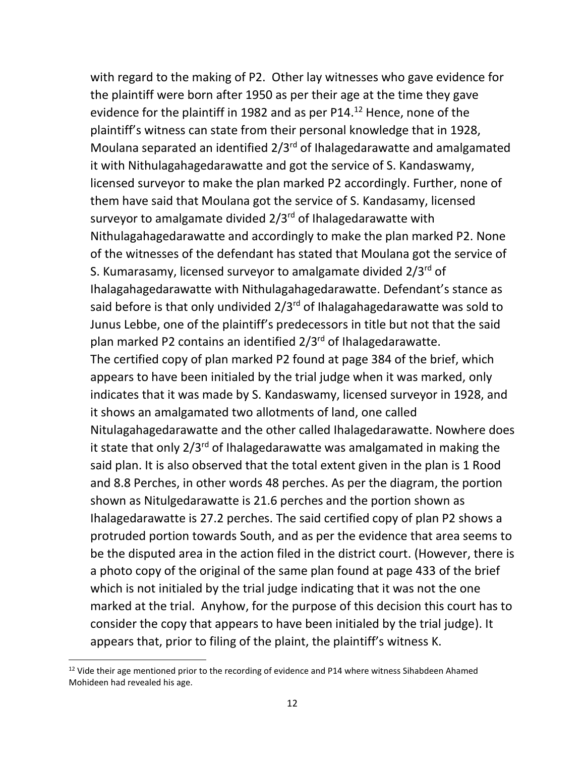with regard to the making of P2. Other lay witnesses who gave evidence for the plaintiff were born after 1950 as per their age at the time they gave evidence for the plaintiff in 1982 and as per P14.<sup>12</sup> Hence, none of the plaintiff's witness can state from their personal knowledge that in 1928, Moulana separated an identified  $2/3^{rd}$  of Ihalagedarawatte and amalgamated it with Nithulagahagedarawatte and got the service of S. Kandaswamy, licensed surveyor to make the plan marked P2 accordingly. Further, none of them have said that Moulana got the service of S. Kandasamy, licensed surveyor to amalgamate divided 2/3<sup>rd</sup> of Ihalagedarawatte with Nithulagahagedarawatte and accordingly to make the plan marked P2. None of the witnesses of the defendant has stated that Moulana got the service of S. Kumarasamy, licensed surveyor to amalgamate divided 2/3<sup>rd</sup> of Ihalagahagedarawatte with Nithulagahagedarawatte. Defendant's stance as said before is that only undivided  $2/3^{rd}$  of Ihalagahagedarawatte was sold to Junus Lebbe, one of the plaintiff's predecessors in title but not that the said plan marked P2 contains an identified  $2/3^{rd}$  of Ihalagedarawatte. The certified copy of plan marked P2 found at page 384 of the brief, which appears to have been initialed by the trial judge when it was marked, only indicates that it was made by S. Kandaswamy, licensed surveyor in 1928, and it shows an amalgamated two allotments of land, one called Nitulagahagedarawatte and the other called Ihalagedarawatte. Nowhere does it state that only  $2/3^{rd}$  of Ihalagedarawatte was amalgamated in making the said plan. It is also observed that the total extent given in the plan is 1 Rood and 8.8 Perches, in other words 48 perches. As per the diagram, the portion shown as Nitulgedarawatte is 21.6 perches and the portion shown as Ihalagedarawatte is 27.2 perches. The said certified copy of plan P2 shows a protruded portion towards South, and as per the evidence that area seems to be the disputed area in the action filed in the district court. (However, there is a photo copy of the original of the same plan found at page 433 of the brief which is not initialed by the trial judge indicating that it was not the one marked at the trial. Anyhow, for the purpose of this decision this court has to consider the copy that appears to have been initialed by the trial judge). It appears that, prior to filing of the plaint, the plaintiff's witness K.

 $12$  Vide their age mentioned prior to the recording of evidence and P14 where witness Sihabdeen Ahamed Mohideen had revealed his age.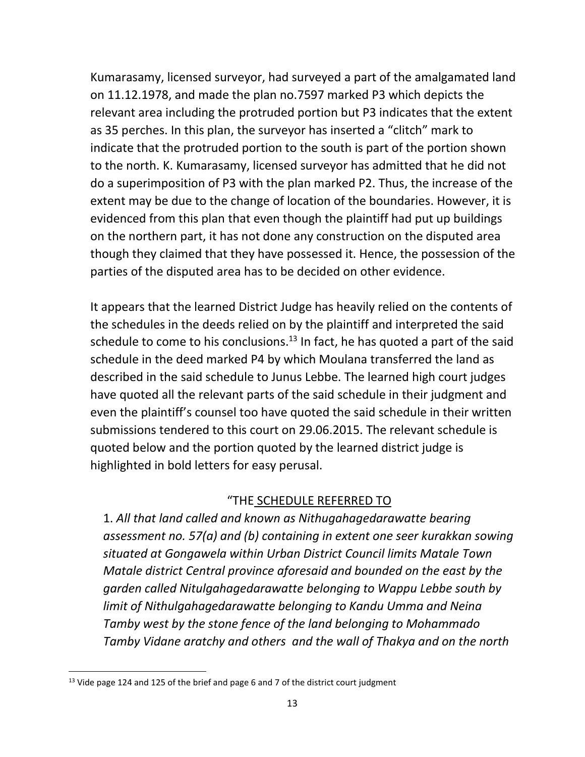Kumarasamy, licensed surveyor, had surveyed a part of the amalgamated land on 11.12.1978, and made the plan no.7597 marked P3 which depicts the relevant area including the protruded portion but P3 indicates that the extent as 35 perches. In this plan, the surveyor has inserted a "clitch" mark to indicate that the protruded portion to the south is part of the portion shown to the north. K. Kumarasamy, licensed surveyor has admitted that he did not do a superimposition of P3 with the plan marked P2. Thus, the increase of the extent may be due to the change of location of the boundaries. However, it is evidenced from this plan that even though the plaintiff had put up buildings on the northern part, it has not done any construction on the disputed area though they claimed that they have possessed it. Hence, the possession of the parties of the disputed area has to be decided on other evidence.

It appears that the learned District Judge has heavily relied on the contents of the schedules in the deeds relied on by the plaintiff and interpreted the said schedule to come to his conclusions.<sup>13</sup> In fact, he has quoted a part of the said schedule in the deed marked P4 by which Moulana transferred the land as described in the said schedule to Junus Lebbe. The learned high court judges have quoted all the relevant parts of the said schedule in their judgment and even the plaintiff's counsel too have quoted the said schedule in their written submissions tendered to this court on 29.06.2015. The relevant schedule is quoted below and the portion quoted by the learned district judge is highlighted in bold letters for easy perusal.

# "THE SCHEDULE REFERRED TO

1. *All that land called and known as Nithugahagedarawatte bearing assessment no. 57(a) and (b) containing in extent one seer kurakkan sowing situated at Gongawela within Urban District Council limits Matale Town Matale district Central province aforesaid and bounded on the east by the garden called Nitulgahagedarawatte belonging to Wappu Lebbe south by limit of Nithulgahagedarawatte belonging to Kandu Umma and Neina Tamby west by the stone fence of the land belonging to Mohammado Tamby Vidane aratchy and others and the wall of Thakya and on the north* 

<sup>&</sup>lt;sup>13</sup> Vide page 124 and 125 of the brief and page 6 and 7 of the district court judgment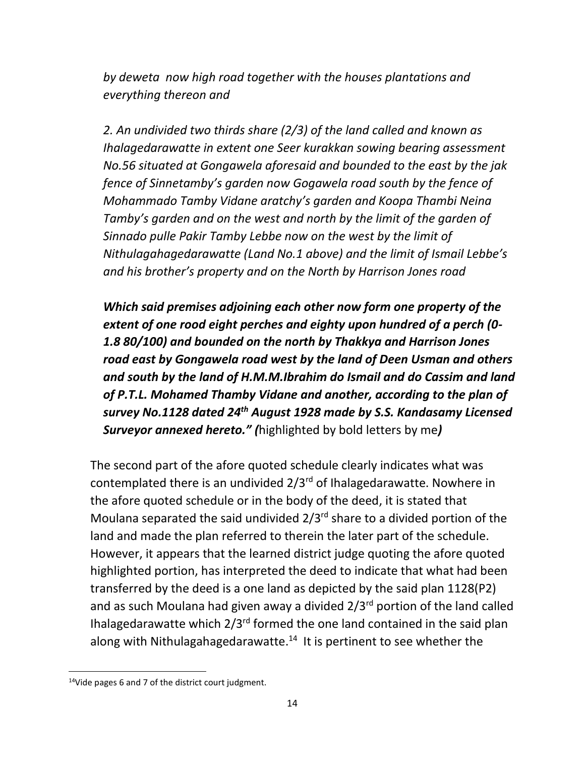*by deweta now high road together with the houses plantations and everything thereon and* 

*2. An undivided two thirds share (2/3) of the land called and known as Ihalagedarawatte in extent one Seer kurakkan sowing bearing assessment No.56 situated at Gongawela aforesaid and bounded to the east by the jak fence of Sinnetamby's garden now Gogawela road south by the fence of Mohammado Tamby Vidane aratchy's garden and Koopa Thambi Neina Tamby's garden and on the west and north by the limit of the garden of Sinnado pulle Pakir Tamby Lebbe now on the west by the limit of Nithulagahagedarawatte (Land No.1 above) and the limit of Ismail Lebbe's and his brother's property and on the North by Harrison Jones road*

*Which said premises adjoining each other now form one property of the extent of one rood eight perches and eighty upon hundred of a perch (0- 1.8 80/100) and bounded on the north by Thakkya and Harrison Jones road east by Gongawela road west by the land of Deen Usman and others and south by the land of H.M.M.Ibrahim do Ismail and do Cassim and land of P.T.L. Mohamed Thamby Vidane and another, according to the plan of survey No.1128 dated 24th August 1928 made by S.S. Kandasamy Licensed Surveyor annexed hereto." (*highlighted by bold letters by me*)*

The second part of the afore quoted schedule clearly indicates what was contemplated there is an undivided  $2/3^{rd}$  of Ihalagedarawatte. Nowhere in the afore quoted schedule or in the body of the deed, it is stated that Moulana separated the said undivided  $2/3^{rd}$  share to a divided portion of the land and made the plan referred to therein the later part of the schedule. However, it appears that the learned district judge quoting the afore quoted highlighted portion, has interpreted the deed to indicate that what had been transferred by the deed is a one land as depicted by the said plan 1128(P2) and as such Moulana had given away a divided 2/3rd portion of the land called Ihalagedarawatte which  $2/3^{rd}$  formed the one land contained in the said plan along with Nithulagahagedarawatte.<sup>14</sup> It is pertinent to see whether the

<sup>&</sup>lt;sup>14</sup>Vide pages 6 and 7 of the district court judgment.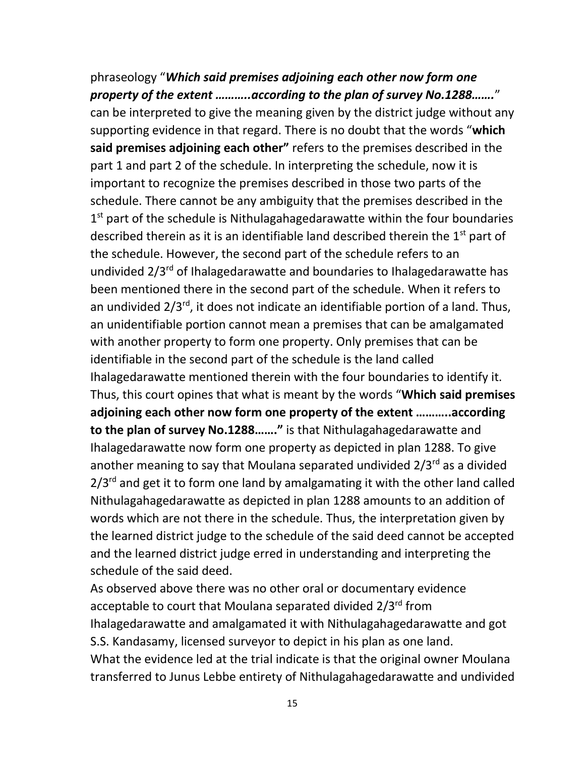phraseology "*Which said premises adjoining each other now form one property of the extent ………..according to the plan of survey No.1288…….*" can be interpreted to give the meaning given by the district judge without any supporting evidence in that regard. There is no doubt that the words "**which said premises adjoining each other"** refers to the premises described in the part 1 and part 2 of the schedule. In interpreting the schedule, now it is important to recognize the premises described in those two parts of the schedule. There cannot be any ambiguity that the premises described in the 1<sup>st</sup> part of the schedule is Nithulagahagedarawatte within the four boundaries described therein as it is an identifiable land described therein the  $1<sup>st</sup>$  part of the schedule. However, the second part of the schedule refers to an undivided 2/3rd of Ihalagedarawatte and boundaries to Ihalagedarawatte has been mentioned there in the second part of the schedule. When it refers to an undivided  $2/3^{rd}$ , it does not indicate an identifiable portion of a land. Thus, an unidentifiable portion cannot mean a premises that can be amalgamated with another property to form one property. Only premises that can be identifiable in the second part of the schedule is the land called Ihalagedarawatte mentioned therein with the four boundaries to identify it. Thus, this court opines that what is meant by the words "**Which said premises adjoining each other now form one property of the extent ………..according to the plan of survey No.1288……."** is that Nithulagahagedarawatte and Ihalagedarawatte now form one property as depicted in plan 1288. To give another meaning to say that Moulana separated undivided  $2/3^{rd}$  as a divided  $2/3<sup>rd</sup>$  and get it to form one land by amalgamating it with the other land called Nithulagahagedarawatte as depicted in plan 1288 amounts to an addition of words which are not there in the schedule. Thus, the interpretation given by the learned district judge to the schedule of the said deed cannot be accepted and the learned district judge erred in understanding and interpreting the schedule of the said deed.

As observed above there was no other oral or documentary evidence acceptable to court that Moulana separated divided 2/3<sup>rd</sup> from Ihalagedarawatte and amalgamated it with Nithulagahagedarawatte and got S.S. Kandasamy, licensed surveyor to depict in his plan as one land. What the evidence led at the trial indicate is that the original owner Moulana transferred to Junus Lebbe entirety of Nithulagahagedarawatte and undivided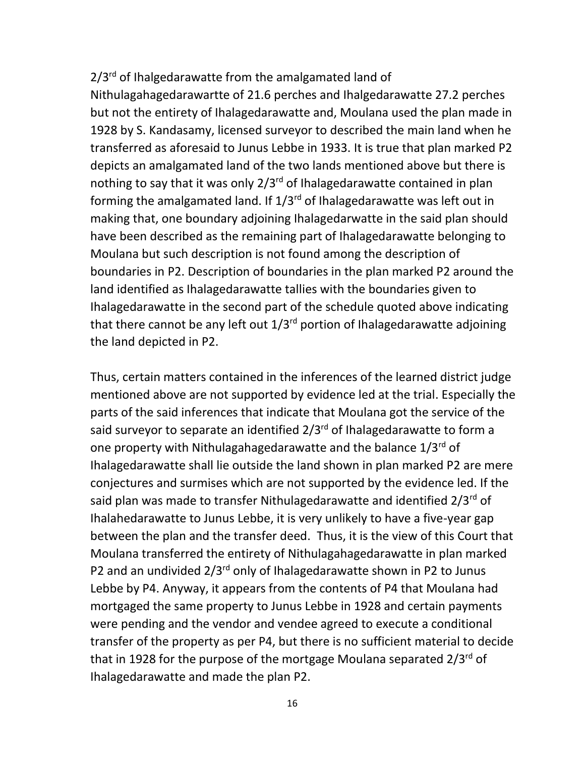# 2/3<sup>rd</sup> of Ihalgedarawatte from the amalgamated land of

Nithulagahagedarawartte of 21.6 perches and Ihalgedarawatte 27.2 perches but not the entirety of Ihalagedarawatte and, Moulana used the plan made in 1928 by S. Kandasamy, licensed surveyor to described the main land when he transferred as aforesaid to Junus Lebbe in 1933. It is true that plan marked P2 depicts an amalgamated land of the two lands mentioned above but there is nothing to say that it was only 2/3<sup>rd</sup> of Ihalagedarawatte contained in plan forming the amalgamated land. If  $1/3^{rd}$  of Ihalagedarawatte was left out in making that, one boundary adjoining Ihalagedarwatte in the said plan should have been described as the remaining part of Ihalagedarawatte belonging to Moulana but such description is not found among the description of boundaries in P2. Description of boundaries in the plan marked P2 around the land identified as Ihalagedarawatte tallies with the boundaries given to Ihalagedarawatte in the second part of the schedule quoted above indicating that there cannot be any left out  $1/3^{rd}$  portion of Ihalagedarawatte adjoining the land depicted in P2.

Thus, certain matters contained in the inferences of the learned district judge mentioned above are not supported by evidence led at the trial. Especially the parts of the said inferences that indicate that Moulana got the service of the said surveyor to separate an identified  $2/3^{rd}$  of Ihalagedarawatte to form a one property with Nithulagahagedarawatte and the balance 1/3rd of Ihalagedarawatte shall lie outside the land shown in plan marked P2 are mere conjectures and surmises which are not supported by the evidence led. If the said plan was made to transfer Nithulagedarawatte and identified  $2/3^{rd}$  of Ihalahedarawatte to Junus Lebbe, it is very unlikely to have a five-year gap between the plan and the transfer deed. Thus, it is the view of this Court that Moulana transferred the entirety of Nithulagahagedarawatte in plan marked P2 and an undivided 2/3<sup>rd</sup> only of Ihalagedarawatte shown in P2 to Junus Lebbe by P4. Anyway, it appears from the contents of P4 that Moulana had mortgaged the same property to Junus Lebbe in 1928 and certain payments were pending and the vendor and vendee agreed to execute a conditional transfer of the property as per P4, but there is no sufficient material to decide that in 1928 for the purpose of the mortgage Moulana separated 2/3rd of Ihalagedarawatte and made the plan P2.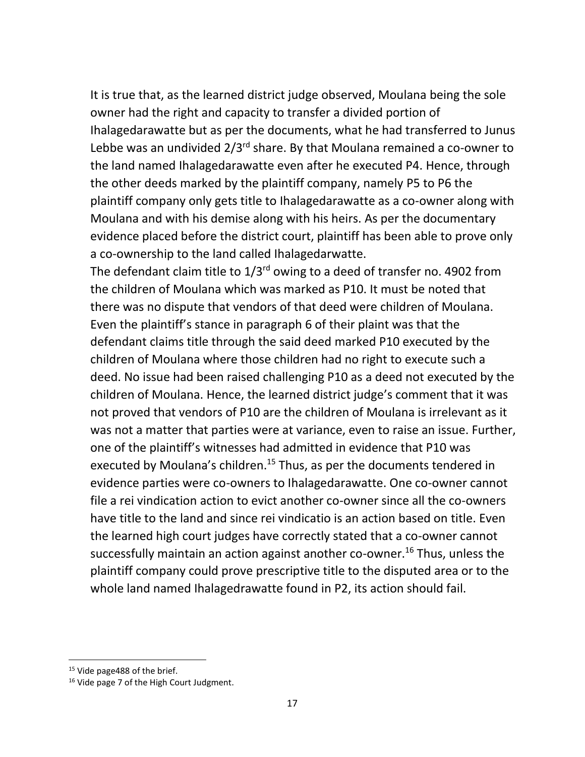It is true that, as the learned district judge observed, Moulana being the sole owner had the right and capacity to transfer a divided portion of Ihalagedarawatte but as per the documents, what he had transferred to Junus Lebbe was an undivided  $2/3^{rd}$  share. By that Moulana remained a co-owner to the land named Ihalagedarawatte even after he executed P4. Hence, through the other deeds marked by the plaintiff company, namely P5 to P6 the plaintiff company only gets title to Ihalagedarawatte as a co-owner along with Moulana and with his demise along with his heirs. As per the documentary evidence placed before the district court, plaintiff has been able to prove only a co-ownership to the land called Ihalagedarwatte.

The defendant claim title to  $1/3^{rd}$  owing to a deed of transfer no. 4902 from the children of Moulana which was marked as P10. It must be noted that there was no dispute that vendors of that deed were children of Moulana. Even the plaintiff's stance in paragraph 6 of their plaint was that the defendant claims title through the said deed marked P10 executed by the children of Moulana where those children had no right to execute such a deed. No issue had been raised challenging P10 as a deed not executed by the children of Moulana. Hence, the learned district judge's comment that it was not proved that vendors of P10 are the children of Moulana is irrelevant as it was not a matter that parties were at variance, even to raise an issue. Further, one of the plaintiff's witnesses had admitted in evidence that P10 was executed by Moulana's children.<sup>15</sup> Thus, as per the documents tendered in evidence parties were co-owners to Ihalagedarawatte. One co-owner cannot file a rei vindication action to evict another co-owner since all the co-owners have title to the land and since rei vindicatio is an action based on title. Even the learned high court judges have correctly stated that a co-owner cannot successfully maintain an action against another co-owner.<sup>16</sup> Thus, unless the plaintiff company could prove prescriptive title to the disputed area or to the whole land named Ihalagedrawatte found in P2, its action should fail.

<sup>&</sup>lt;sup>15</sup> Vide page 488 of the brief.

<sup>&</sup>lt;sup>16</sup> Vide page 7 of the High Court Judgment.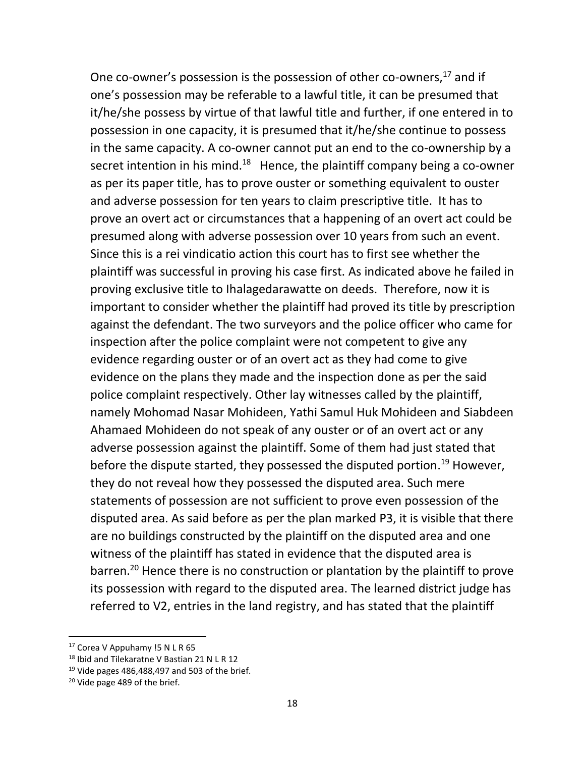One co-owner's possession is the possession of other co-owners, $^{17}$  and if one's possession may be referable to a lawful title, it can be presumed that it/he/she possess by virtue of that lawful title and further, if one entered in to possession in one capacity, it is presumed that it/he/she continue to possess in the same capacity. A co-owner cannot put an end to the co-ownership by a secret intention in his mind.<sup>18</sup> Hence, the plaintiff company being a co-owner as per its paper title, has to prove ouster or something equivalent to ouster and adverse possession for ten years to claim prescriptive title. It has to prove an overt act or circumstances that a happening of an overt act could be presumed along with adverse possession over 10 years from such an event. Since this is a rei vindicatio action this court has to first see whether the plaintiff was successful in proving his case first. As indicated above he failed in proving exclusive title to Ihalagedarawatte on deeds. Therefore, now it is important to consider whether the plaintiff had proved its title by prescription against the defendant. The two surveyors and the police officer who came for inspection after the police complaint were not competent to give any evidence regarding ouster or of an overt act as they had come to give evidence on the plans they made and the inspection done as per the said police complaint respectively. Other lay witnesses called by the plaintiff, namely Mohomad Nasar Mohideen, Yathi Samul Huk Mohideen and Siabdeen Ahamaed Mohideen do not speak of any ouster or of an overt act or any adverse possession against the plaintiff. Some of them had just stated that before the dispute started, they possessed the disputed portion.<sup>19</sup> However, they do not reveal how they possessed the disputed area. Such mere statements of possession are not sufficient to prove even possession of the disputed area. As said before as per the plan marked P3, it is visible that there are no buildings constructed by the plaintiff on the disputed area and one witness of the plaintiff has stated in evidence that the disputed area is barren.<sup>20</sup> Hence there is no construction or plantation by the plaintiff to prove its possession with regard to the disputed area. The learned district judge has referred to V2, entries in the land registry, and has stated that the plaintiff

 $17$  Corea V Appuhamy !5 N L R 65

<sup>&</sup>lt;sup>18</sup> Ibid and Tilekaratne V Bastian 21 N L R 12

 $19$  Vide pages 486,488,497 and 503 of the brief.

<sup>&</sup>lt;sup>20</sup> Vide page 489 of the brief.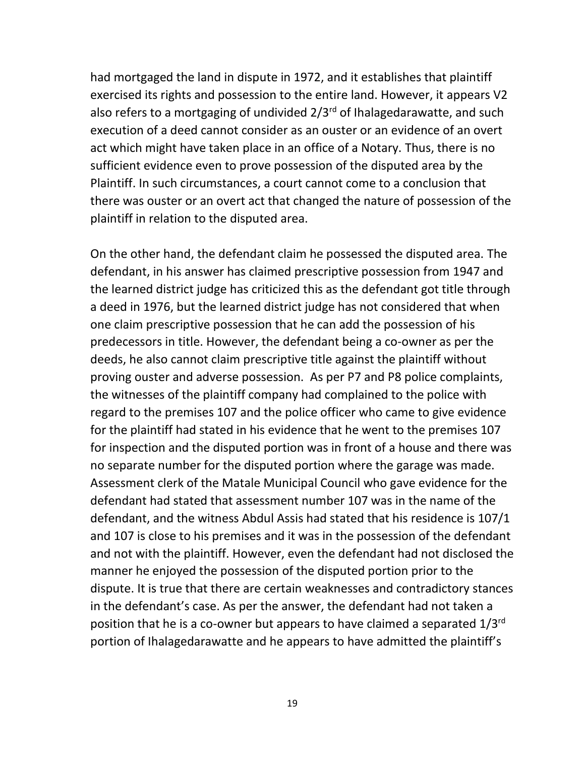had mortgaged the land in dispute in 1972, and it establishes that plaintiff exercised its rights and possession to the entire land. However, it appears V2 also refers to a mortgaging of undivided  $2/3^{rd}$  of Ihalagedarawatte, and such execution of a deed cannot consider as an ouster or an evidence of an overt act which might have taken place in an office of a Notary. Thus, there is no sufficient evidence even to prove possession of the disputed area by the Plaintiff. In such circumstances, a court cannot come to a conclusion that there was ouster or an overt act that changed the nature of possession of the plaintiff in relation to the disputed area.

On the other hand, the defendant claim he possessed the disputed area. The defendant, in his answer has claimed prescriptive possession from 1947 and the learned district judge has criticized this as the defendant got title through a deed in 1976, but the learned district judge has not considered that when one claim prescriptive possession that he can add the possession of his predecessors in title. However, the defendant being a co-owner as per the deeds, he also cannot claim prescriptive title against the plaintiff without proving ouster and adverse possession. As per P7 and P8 police complaints, the witnesses of the plaintiff company had complained to the police with regard to the premises 107 and the police officer who came to give evidence for the plaintiff had stated in his evidence that he went to the premises 107 for inspection and the disputed portion was in front of a house and there was no separate number for the disputed portion where the garage was made. Assessment clerk of the Matale Municipal Council who gave evidence for the defendant had stated that assessment number 107 was in the name of the defendant, and the witness Abdul Assis had stated that his residence is 107/1 and 107 is close to his premises and it was in the possession of the defendant and not with the plaintiff. However, even the defendant had not disclosed the manner he enjoyed the possession of the disputed portion prior to the dispute. It is true that there are certain weaknesses and contradictory stances in the defendant's case. As per the answer, the defendant had not taken a position that he is a co-owner but appears to have claimed a separated 1/3rd portion of Ihalagedarawatte and he appears to have admitted the plaintiff's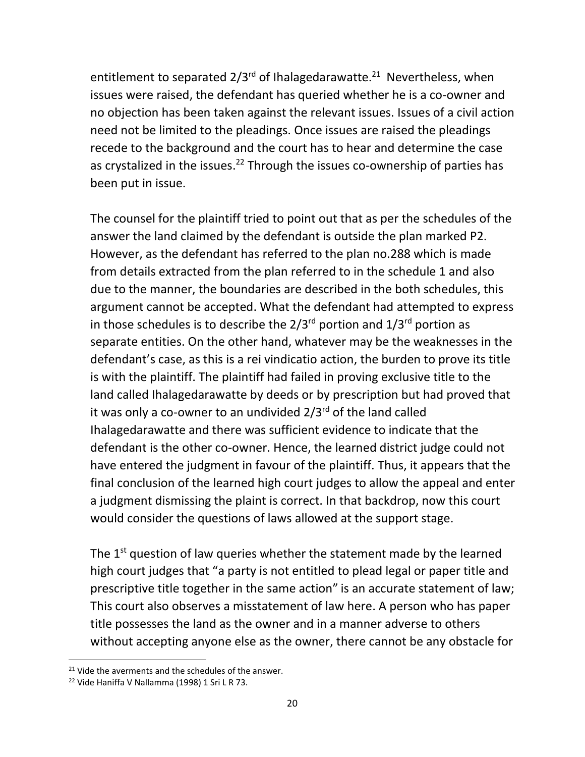entitlement to separated 2/3<sup>rd</sup> of Ihalagedarawatte.<sup>21</sup> Nevertheless, when issues were raised, the defendant has queried whether he is a co-owner and no objection has been taken against the relevant issues. Issues of a civil action need not be limited to the pleadings. Once issues are raised the pleadings recede to the background and the court has to hear and determine the case as crystalized in the issues.<sup>22</sup> Through the issues co-ownership of parties has been put in issue.

The counsel for the plaintiff tried to point out that as per the schedules of the answer the land claimed by the defendant is outside the plan marked P2. However, as the defendant has referred to the plan no.288 which is made from details extracted from the plan referred to in the schedule 1 and also due to the manner, the boundaries are described in the both schedules, this argument cannot be accepted. What the defendant had attempted to express in those schedules is to describe the  $2/3^{rd}$  portion and  $1/3^{rd}$  portion as separate entities. On the other hand, whatever may be the weaknesses in the defendant's case, as this is a rei vindicatio action, the burden to prove its title is with the plaintiff. The plaintiff had failed in proving exclusive title to the land called Ihalagedarawatte by deeds or by prescription but had proved that it was only a co-owner to an undivided  $2/3^{rd}$  of the land called Ihalagedarawatte and there was sufficient evidence to indicate that the defendant is the other co-owner. Hence, the learned district judge could not have entered the judgment in favour of the plaintiff. Thus, it appears that the final conclusion of the learned high court judges to allow the appeal and enter a judgment dismissing the plaint is correct. In that backdrop, now this court would consider the questions of laws allowed at the support stage.

The 1<sup>st</sup> question of law queries whether the statement made by the learned high court judges that "a party is not entitled to plead legal or paper title and prescriptive title together in the same action" is an accurate statement of law; This court also observes a misstatement of law here. A person who has paper title possesses the land as the owner and in a manner adverse to others without accepting anyone else as the owner, there cannot be any obstacle for

 $21$  Vide the averments and the schedules of the answer.

<sup>&</sup>lt;sup>22</sup> Vide Haniffa V Nallamma (1998) 1 Sri L R 73.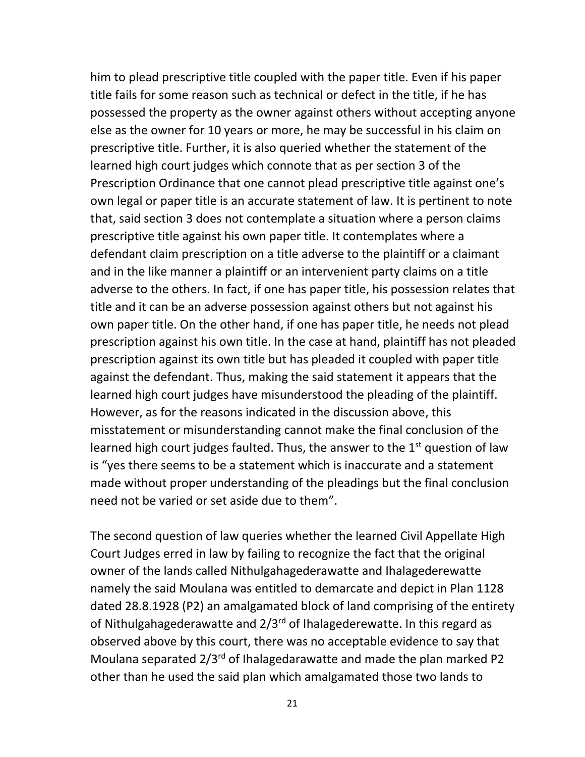him to plead prescriptive title coupled with the paper title. Even if his paper title fails for some reason such as technical or defect in the title, if he has possessed the property as the owner against others without accepting anyone else as the owner for 10 years or more, he may be successful in his claim on prescriptive title. Further, it is also queried whether the statement of the learned high court judges which connote that as per section 3 of the Prescription Ordinance that one cannot plead prescriptive title against one's own legal or paper title is an accurate statement of law. It is pertinent to note that, said section 3 does not contemplate a situation where a person claims prescriptive title against his own paper title. It contemplates where a defendant claim prescription on a title adverse to the plaintiff or a claimant and in the like manner a plaintiff or an intervenient party claims on a title adverse to the others. In fact, if one has paper title, his possession relates that title and it can be an adverse possession against others but not against his own paper title. On the other hand, if one has paper title, he needs not plead prescription against his own title. In the case at hand, plaintiff has not pleaded prescription against its own title but has pleaded it coupled with paper title against the defendant. Thus, making the said statement it appears that the learned high court judges have misunderstood the pleading of the plaintiff. However, as for the reasons indicated in the discussion above, this misstatement or misunderstanding cannot make the final conclusion of the learned high court judges faulted. Thus, the answer to the  $1<sup>st</sup>$  question of law is "yes there seems to be a statement which is inaccurate and a statement made without proper understanding of the pleadings but the final conclusion need not be varied or set aside due to them".

The second question of law queries whether the learned Civil Appellate High Court Judges erred in law by failing to recognize the fact that the original owner of the lands called Nithulgahagederawatte and Ihalagederewatte namely the said Moulana was entitled to demarcate and depict in Plan 1128 dated 28.8.1928 (P2) an amalgamated block of land comprising of the entirety of Nithulgahagederawatte and  $2/3^{rd}$  of Ihalagederewatte. In this regard as observed above by this court, there was no acceptable evidence to say that Moulana separated 2/3<sup>rd</sup> of Ihalagedarawatte and made the plan marked P2 other than he used the said plan which amalgamated those two lands to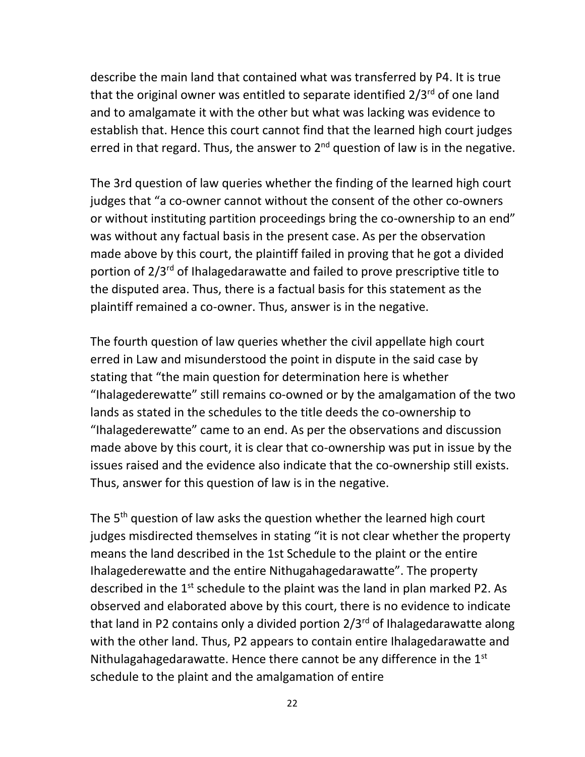describe the main land that contained what was transferred by P4. It is true that the original owner was entitled to separate identified  $2/3^{rd}$  of one land and to amalgamate it with the other but what was lacking was evidence to establish that. Hence this court cannot find that the learned high court judges erred in that regard. Thus, the answer to  $2^{nd}$  question of law is in the negative.

The 3rd question of law queries whether the finding of the learned high court judges that "a co-owner cannot without the consent of the other co-owners or without instituting partition proceedings bring the co-ownership to an end" was without any factual basis in the present case. As per the observation made above by this court, the plaintiff failed in proving that he got a divided portion of 2/3rd of Ihalagedarawatte and failed to prove prescriptive title to the disputed area. Thus, there is a factual basis for this statement as the plaintiff remained a co-owner. Thus, answer is in the negative.

The fourth question of law queries whether the civil appellate high court erred in Law and misunderstood the point in dispute in the said case by stating that "the main question for determination here is whether "Ihalagederewatte" still remains co-owned or by the amalgamation of the two lands as stated in the schedules to the title deeds the co-ownership to "Ihalagederewatte" came to an end. As per the observations and discussion made above by this court, it is clear that co-ownership was put in issue by the issues raised and the evidence also indicate that the co-ownership still exists. Thus, answer for this question of law is in the negative.

The 5<sup>th</sup> question of law asks the question whether the learned high court judges misdirected themselves in stating "it is not clear whether the property means the land described in the 1st Schedule to the plaint or the entire Ihalagederewatte and the entire Nithugahagedarawatte". The property described in the  $1<sup>st</sup>$  schedule to the plaint was the land in plan marked P2. As observed and elaborated above by this court, there is no evidence to indicate that land in P2 contains only a divided portion  $2/3^{rd}$  of Ihalagedarawatte along with the other land. Thus, P2 appears to contain entire Ihalagedarawatte and Nithulagahagedarawatte. Hence there cannot be any difference in the  $1<sup>st</sup>$ schedule to the plaint and the amalgamation of entire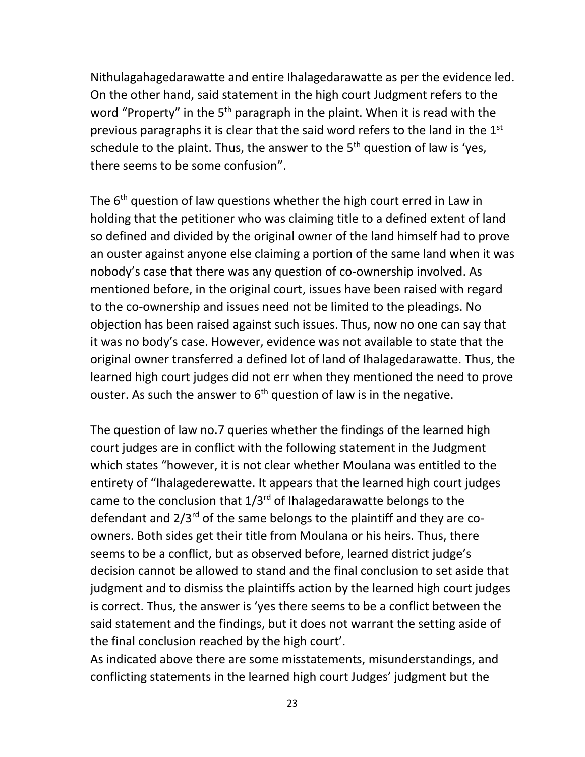Nithulagahagedarawatte and entire Ihalagedarawatte as per the evidence led. On the other hand, said statement in the high court Judgment refers to the word "Property" in the 5<sup>th</sup> paragraph in the plaint. When it is read with the previous paragraphs it is clear that the said word refers to the land in the 1<sup>st</sup> schedule to the plaint. Thus, the answer to the  $5<sup>th</sup>$  question of law is 'yes, there seems to be some confusion".

The 6<sup>th</sup> question of law questions whether the high court erred in Law in holding that the petitioner who was claiming title to a defined extent of land so defined and divided by the original owner of the land himself had to prove an ouster against anyone else claiming a portion of the same land when it was nobody's case that there was any question of co-ownership involved. As mentioned before, in the original court, issues have been raised with regard to the co-ownership and issues need not be limited to the pleadings. No objection has been raised against such issues. Thus, now no one can say that it was no body's case. However, evidence was not available to state that the original owner transferred a defined lot of land of Ihalagedarawatte. Thus, the learned high court judges did not err when they mentioned the need to prove ouster. As such the answer to  $6<sup>th</sup>$  question of law is in the negative.

The question of law no.7 queries whether the findings of the learned high court judges are in conflict with the following statement in the Judgment which states "however, it is not clear whether Moulana was entitled to the entirety of "Ihalagederewatte. It appears that the learned high court judges came to the conclusion that  $1/3^{rd}$  of Ihalagedarawatte belongs to the defendant and  $2/3^{rd}$  of the same belongs to the plaintiff and they are coowners. Both sides get their title from Moulana or his heirs. Thus, there seems to be a conflict, but as observed before, learned district judge's decision cannot be allowed to stand and the final conclusion to set aside that judgment and to dismiss the plaintiffs action by the learned high court judges is correct. Thus, the answer is 'yes there seems to be a conflict between the said statement and the findings, but it does not warrant the setting aside of the final conclusion reached by the high court'.

As indicated above there are some misstatements, misunderstandings, and conflicting statements in the learned high court Judges' judgment but the